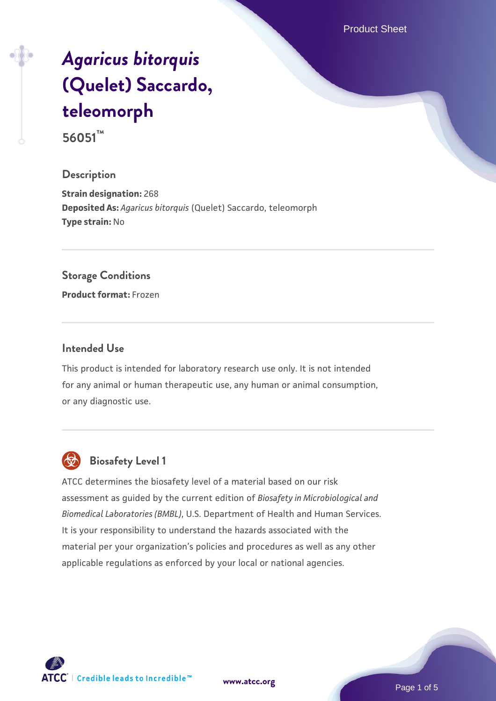Product Sheet

# *[Agaricus bitorquis](https://www.atcc.org/products/56051)* **[\(Quelet\) Saccardo,](https://www.atcc.org/products/56051) [teleomorph](https://www.atcc.org/products/56051)**

**56051™**

### **Description**

**Strain designation:** 268 **Deposited As:** *Agaricus bitorquis* (Quelet) Saccardo, teleomorph **Type strain:** No

#### **Storage Conditions**

**Product format:** Frozen

#### **Intended Use**

This product is intended for laboratory research use only. It is not intended for any animal or human therapeutic use, any human or animal consumption, or any diagnostic use.



# **Biosafety Level 1**

ATCC determines the biosafety level of a material based on our risk assessment as guided by the current edition of *Biosafety in Microbiological and Biomedical Laboratories (BMBL)*, U.S. Department of Health and Human Services. It is your responsibility to understand the hazards associated with the material per your organization's policies and procedures as well as any other applicable regulations as enforced by your local or national agencies.

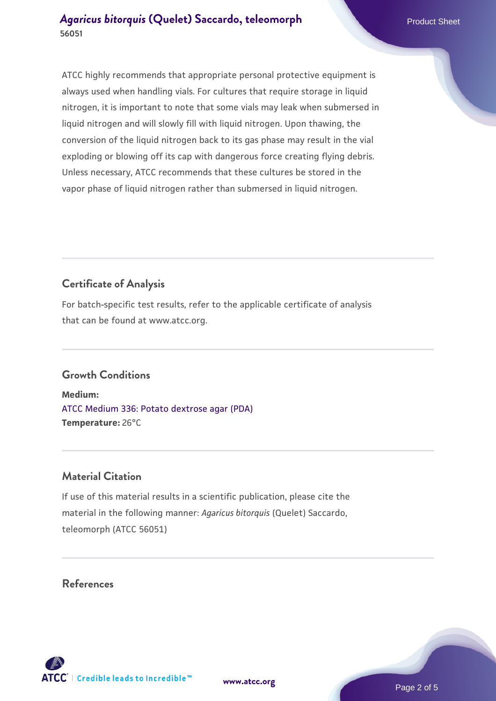ATCC highly recommends that appropriate personal protective equipment is always used when handling vials. For cultures that require storage in liquid nitrogen, it is important to note that some vials may leak when submersed in liquid nitrogen and will slowly fill with liquid nitrogen. Upon thawing, the conversion of the liquid nitrogen back to its gas phase may result in the vial exploding or blowing off its cap with dangerous force creating flying debris. Unless necessary, ATCC recommends that these cultures be stored in the vapor phase of liquid nitrogen rather than submersed in liquid nitrogen.

# **Certificate of Analysis**

For batch-specific test results, refer to the applicable certificate of analysis that can be found at www.atcc.org.

# **Growth Conditions**

**Medium:**  [ATCC Medium 336: Potato dextrose agar \(PDA\)](https://www.atcc.org/-/media/product-assets/documents/microbial-media-formulations/3/3/6/atcc-medium-336.pdf?rev=d9160ad44d934cd8b65175461abbf3b9) **Temperature:** 26°C

# **Material Citation**

If use of this material results in a scientific publication, please cite the material in the following manner: *Agaricus bitorquis* (Quelet) Saccardo, teleomorph (ATCC 56051)

# **References**



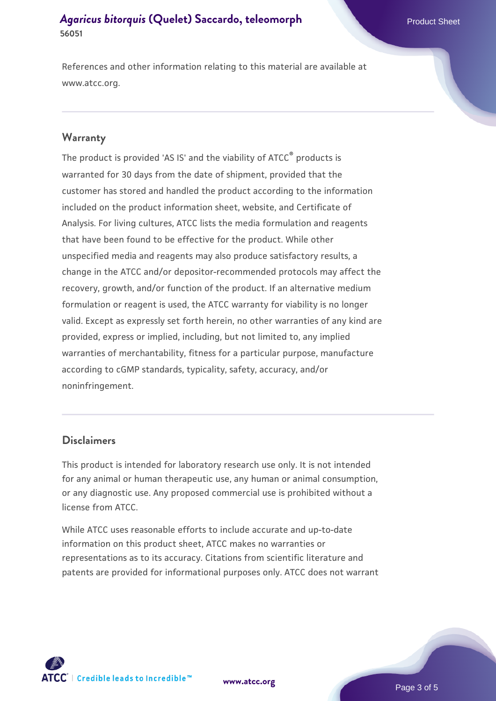#### **[Agaricus bitorquis](https://www.atcc.org/products/56051) [\(Quelet\) Saccardo, teleomorph](https://www.atcc.org/products/56051)** Product Sheet **56051**

References and other information relating to this material are available at www.atcc.org.

#### **Warranty**

The product is provided 'AS IS' and the viability of ATCC® products is warranted for 30 days from the date of shipment, provided that the customer has stored and handled the product according to the information included on the product information sheet, website, and Certificate of Analysis. For living cultures, ATCC lists the media formulation and reagents that have been found to be effective for the product. While other unspecified media and reagents may also produce satisfactory results, a change in the ATCC and/or depositor-recommended protocols may affect the recovery, growth, and/or function of the product. If an alternative medium formulation or reagent is used, the ATCC warranty for viability is no longer valid. Except as expressly set forth herein, no other warranties of any kind are provided, express or implied, including, but not limited to, any implied warranties of merchantability, fitness for a particular purpose, manufacture according to cGMP standards, typicality, safety, accuracy, and/or noninfringement.

#### **Disclaimers**

This product is intended for laboratory research use only. It is not intended for any animal or human therapeutic use, any human or animal consumption, or any diagnostic use. Any proposed commercial use is prohibited without a license from ATCC.

While ATCC uses reasonable efforts to include accurate and up-to-date information on this product sheet, ATCC makes no warranties or representations as to its accuracy. Citations from scientific literature and patents are provided for informational purposes only. ATCC does not warrant



**[www.atcc.org](http://www.atcc.org)**

Page 3 of 5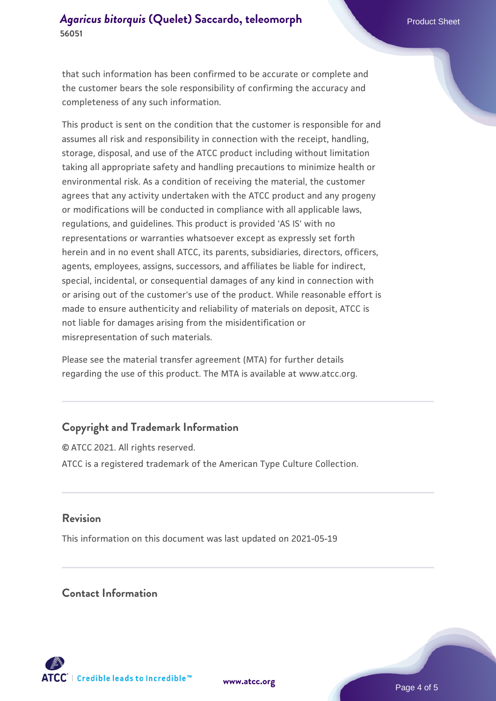### **[Agaricus bitorquis](https://www.atcc.org/products/56051) [\(Quelet\) Saccardo, teleomorph](https://www.atcc.org/products/56051)** Product Sheet **56051**

that such information has been confirmed to be accurate or complete and the customer bears the sole responsibility of confirming the accuracy and completeness of any such information.

This product is sent on the condition that the customer is responsible for and assumes all risk and responsibility in connection with the receipt, handling, storage, disposal, and use of the ATCC product including without limitation taking all appropriate safety and handling precautions to minimize health or environmental risk. As a condition of receiving the material, the customer agrees that any activity undertaken with the ATCC product and any progeny or modifications will be conducted in compliance with all applicable laws, regulations, and guidelines. This product is provided 'AS IS' with no representations or warranties whatsoever except as expressly set forth herein and in no event shall ATCC, its parents, subsidiaries, directors, officers, agents, employees, assigns, successors, and affiliates be liable for indirect, special, incidental, or consequential damages of any kind in connection with or arising out of the customer's use of the product. While reasonable effort is made to ensure authenticity and reliability of materials on deposit, ATCC is not liable for damages arising from the misidentification or misrepresentation of such materials.

Please see the material transfer agreement (MTA) for further details regarding the use of this product. The MTA is available at www.atcc.org.

# **Copyright and Trademark Information**

© ATCC 2021. All rights reserved. ATCC is a registered trademark of the American Type Culture Collection.

#### **Revision**

This information on this document was last updated on 2021-05-19

#### **Contact Information**



**[www.atcc.org](http://www.atcc.org)**

Page 4 of 5